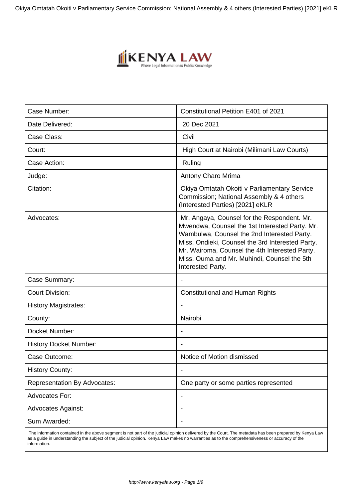Okiya Omtatah Okoiti v Parliamentary Service Commission; National Assembly & 4 others (Interested Parties) [2021] eKLR



| Case Number:                        | Constitutional Petition E401 of 2021                                                                                                                                                                                                                                                                                   |
|-------------------------------------|------------------------------------------------------------------------------------------------------------------------------------------------------------------------------------------------------------------------------------------------------------------------------------------------------------------------|
| Date Delivered:                     | 20 Dec 2021                                                                                                                                                                                                                                                                                                            |
| Case Class:                         | Civil                                                                                                                                                                                                                                                                                                                  |
| Court:                              | High Court at Nairobi (Milimani Law Courts)                                                                                                                                                                                                                                                                            |
| Case Action:                        | Ruling                                                                                                                                                                                                                                                                                                                 |
| Judge:                              | Antony Charo Mrima                                                                                                                                                                                                                                                                                                     |
| Citation:                           | Okiya Omtatah Okoiti v Parliamentary Service<br>Commission; National Assembly & 4 others<br>(Interested Parties) [2021] eKLR                                                                                                                                                                                           |
| Advocates:                          | Mr. Angaya, Counsel for the Respondent. Mr.<br>Mwendwa, Counsel the 1st Interested Party. Mr.<br>Wambulwa, Counsel the 2nd Interested Party.<br>Miss. Ondieki, Counsel the 3rd Interested Party.<br>Mr. Wairoma, Counsel the 4th Interested Party.<br>Miss. Ouma and Mr. Muhindi, Counsel the 5th<br>Interested Party. |
| Case Summary:                       |                                                                                                                                                                                                                                                                                                                        |
| <b>Court Division:</b>              | <b>Constitutional and Human Rights</b>                                                                                                                                                                                                                                                                                 |
| <b>History Magistrates:</b>         |                                                                                                                                                                                                                                                                                                                        |
| County:                             | Nairobi                                                                                                                                                                                                                                                                                                                |
| Docket Number:                      |                                                                                                                                                                                                                                                                                                                        |
| <b>History Docket Number:</b>       |                                                                                                                                                                                                                                                                                                                        |
| Case Outcome:                       | Notice of Motion dismissed                                                                                                                                                                                                                                                                                             |
| <b>History County:</b>              |                                                                                                                                                                                                                                                                                                                        |
| <b>Representation By Advocates:</b> | One party or some parties represented                                                                                                                                                                                                                                                                                  |
| Advocates For:                      | $\qquad \qquad \blacksquare$                                                                                                                                                                                                                                                                                           |
| <b>Advocates Against:</b>           |                                                                                                                                                                                                                                                                                                                        |
| Sum Awarded:                        |                                                                                                                                                                                                                                                                                                                        |
|                                     |                                                                                                                                                                                                                                                                                                                        |

 The information contained in the above segment is not part of the judicial opinion delivered by the Court. The metadata has been prepared by Kenya Law as a guide in understanding the subject of the judicial opinion. Kenya Law makes no warranties as to the comprehensiveness or accuracy of the information.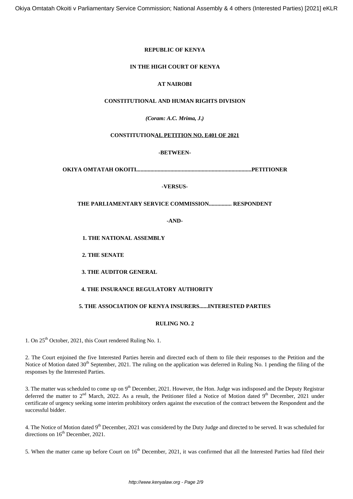# **REPUBLIC OF KENYA**

# **IN THE HIGH COURT OF KENYA**

# **AT NAIROBI**

# **CONSTITUTIONAL AND HUMAN RIGHTS DIVISION**

*(Coram: A.C. Mrima, J***.***)*

# **CONSTITUTIONAL PETITION NO. E401 OF 2021**

# **-BETWEEN-**

**OKIYA OMTATAH OKOITI.................................................................................PETITIONER**

# **-VERSUS-**

# **THE PARLIAMENTARY SERVICE COMMISSION................ RESPONDENT**

**-AND-**

**1. THE NATIONAL ASSEMBLY**

**2. THE SENATE**

**3. THE AUDITOR GENERAL**

## **4. THE INSURANCE REGULATORY AUTHORITY**

# **5. THE ASSOCIATION OF KENYA INSURERS......INTERESTED PARTIES**

## **RULING NO. 2**

1. On 25<sup>th</sup> October, 2021, this Court rendered Ruling No. 1.

2. The Court enjoined the five Interested Parties herein and directed each of them to file their responses to the Petition and the Notice of Motion dated 30<sup>th</sup> September, 2021. The ruling on the application was deferred in Ruling No. 1 pending the filing of the responses by the Interested Parties.

3. The matter was scheduled to come up on  $9<sup>th</sup>$  December, 2021. However, the Hon. Judge was indisposed and the Deputy Registrar deferred the matter to  $2<sup>nd</sup>$  March, 2022. As a result, the Petitioner filed a Notice of Motion dated 9<sup>th</sup> December, 2021 under certificate of urgency seeking some interim prohibitory orders against the execution of the contract between the Respondent and the successful bidder.

4. The Notice of Motion dated 9<sup>th</sup> December, 2021 was considered by the Duty Judge and directed to be served. It was scheduled for directions on  $16^{th}$  December, 2021.

5. When the matter came up before Court on 16<sup>th</sup> December, 2021, it was confirmed that all the Interested Parties had filed their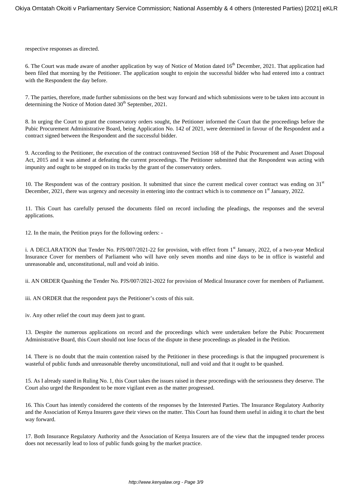respective responses as directed.

6. The Court was made aware of another application by way of Notice of Motion dated 16<sup>th</sup> December, 2021. That application had been filed that morning by the Petitioner. The application sought to enjoin the successful bidder who had entered into a contract with the Respondent the day before.

7. The parties, therefore, made further submissions on the best way forward and which submissions were to be taken into account in determining the Notice of Motion dated  $30<sup>th</sup>$  September, 2021.

8. In urging the Court to grant the conservatory orders sought, the Petitioner informed the Court that the proceedings before the Pubic Procurement Administrative Board, being Application No. 142 of 2021, were determined in favour of the Respondent and a contract signed between the Respondent and the successful bidder.

9. According to the Petitioner, the execution of the contract contravened Section 168 of the Pubic Procurement and Asset Disposal Act, 2015 and it was aimed at defeating the current proceedings. The Petitioner submitted that the Respondent was acting with impunity and ought to be stopped on its tracks by the grant of the conservatory orders.

10. The Respondent was of the contrary position. It submitted that since the current medical cover contract was ending on  $31<sup>st</sup>$ December, 2021, there was urgency and necessity in entering into the contract which is to commence on  $1<sup>st</sup>$  January, 2022.

11. This Court has carefully perused the documents filed on record including the pleadings, the responses and the several applications.

12. In the main, the Petition prays for the following orders: -

i. A DECLARATION that Tender No. PJS/007/2021-22 for provision, with effect from 1<sup>st</sup> January, 2022, of a two-year Medical Insurance Cover for members of Parliament who will have only seven months and nine days to be in office is wasteful and unreasonable and, unconstitutional, null and void ab initio.

ii. AN ORDER Quashing the Tender No. PJS/007/2021-2022 for provision of Medical Insurance cover for members of Parliament.

iii. AN ORDER that the respondent pays the Petitioner's costs of this suit.

iv. Any other relief the court may deem just to grant.

13. Despite the numerous applications on record and the proceedings which were undertaken before the Pubic Procurement Administrative Board, this Court should not lose focus of the dispute in these proceedings as pleaded in the Petition.

14. There is no doubt that the main contention raised by the Petitioner in these proceedings is that the impugned procurement is wasteful of public funds and unreasonable thereby unconstitutional, null and void and that it ought to be quashed.

15. As I already stated in Ruling No. 1, this Court takes the issues raised in these proceedings with the seriousness they deserve. The Court also urged the Respondent to be more vigilant even as the matter progressed.

16. This Court has intently considered the contents of the responses by the Interested Parties. The Insurance Regulatory Authority and the Association of Kenya Insurers gave their views on the matter. This Court has found them useful in aiding it to chart the best way forward.

17. Both Insurance Regulatory Authority and the Association of Kenya Insurers are of the view that the impugned tender process does not necessarily lead to loss of public funds going by the market practice.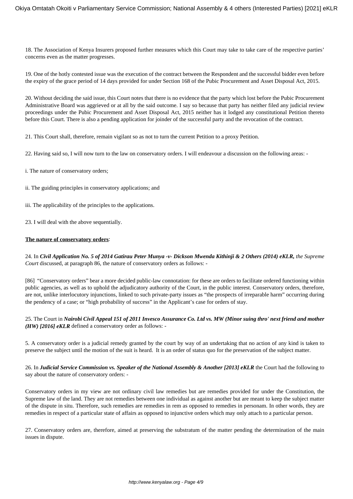18. The Association of Kenya Insurers proposed further measures which this Court may take to take care of the respective parties' concerns even as the matter progresses.

19. One of the hotly contested issue was the execution of the contract between the Respondent and the successful bidder even before the expiry of the grace period of 14 days provided for under Section 168 of the Pubic Procurement and Asset Disposal Act, 2015.

20. Without deciding the said issue, this Court notes that there is no evidence that the party which lost before the Pubic Procurement Administrative Board was aggrieved or at all by the said outcome. I say so because that party has neither filed any judicial review proceedings under the Pubic Procurement and Asset Disposal Act, 2015 neither has it lodged any constitutional Petition thereto before this Court. There is also a pending application for joinder of the successful party and the revocation of the contract.

21. This Court shall, therefore, remain vigilant so as not to turn the current Petition to a proxy Petition.

22. Having said so, I will now turn to the law on conservatory orders. I will endeavour a discussion on the following areas: -

i. The nature of conservatory orders;

ii. The guiding principles in conservatory applications; and

iii. The applicability of the principles to the applications.

23. I will deal with the above sequentially.

#### **The nature of conservatory orders**:

24. In *Civil Application No. 5 of 2014 Gatirau Peter Munya -v- Dickson Mwenda Kithinji & 2 Others (2014) eKLR, the Supreme Court* discussed, at paragraph 86, the nature of conservatory orders as follows: -

[86] "Conservatory orders" bear a more decided public-law connotation: for these are orders to facilitate ordered functioning within public agencies, as well as to uphold the adjudicatory authority of the Court, in the public interest. Conservatory orders, therefore, are not, unlike interlocutory injunctions, linked to such private-party issues as "the prospects of irreparable harm" occurring during the pendency of a case; or "high probability of success" in the Applicant's case for orders of stay.

25. The Court in *Nairobi Civil Appeal 151 of 2011 Invesco Assurance Co. Ltd vs. MW (Minor suing thro' next friend and mother (HW) [2016] eKLR* defined a conservatory order as follows: -

5. A conservatory order is a judicial remedy granted by the court by way of an undertaking that no action of any kind is taken to preserve the subject until the motion of the suit is heard. It is an order of status quo for the preservation of the subject matter.

26. In *Judicial Service Commission vs. Speaker of the National Assembly & Another [2013] eKLR* the Court had the following to say about the nature of conservatory orders: -

Conservatory orders in my view are not ordinary civil law remedies but are remedies provided for under the Constitution, the Supreme law of the land. They are not remedies between one individual as against another but are meant to keep the subject matter of the dispute in situ. Therefore, such remedies are remedies in rem as opposed to remedies in personam. In other words, they are remedies in respect of a particular state of affairs as opposed to injunctive orders which may only attach to a particular person.

27. Conservatory orders are, therefore, aimed at preserving the substratum of the matter pending the determination of the main issues in dispute.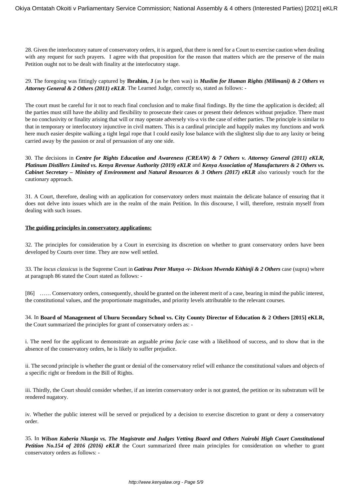28. Given the interlocutory nature of conservatory orders, it is argued, that there is need for a Court to exercise caution when dealing with any request for such prayers. I agree with that proposition for the reason that matters which are the preserve of the main Petition ought not to be dealt with finality at the interlocutory stage.

29. The foregoing was fittingly captured by **Ibrahim, J** (as he then was) in *Muslim for Human Rights (Milimani) & 2 Others vs Attorney General & 2 Others (2011) eKLR*. The Learned Judge, correctly so, stated as follows: -

The court must be careful for it not to reach final conclusion and to make final findings. By the time the application is decided; all the parties must still have the ability and flexibility to prosecute their cases or present their defences without prejudice. There must be no conclusivity or finality arising that will or may operate adversely vis-a vis the case of either parties. The principle is similar to that in temporary or interlocutory injunctive in civil matters. This is a cardinal principle and happily makes my functions and work here much easier despite walking a tight legal rope that I could easily lose balance with the slightest slip due to any laxity or being carried away by the passion or zeal of persuasion of any one side.

30. The decisions in *Centre for Rights Education and Awareness (CREAW) & 7 Others v. Attorney General (2011) eKLR, Platinum Distillers Limited vs. Kenya Revenue Authority (2019) eKLR* and *Kenya Association of Manufacturers & 2 Others vs. Cabinet Secretary – Ministry of Environment and Natural Resources & 3 Others (2017) eKLR* also variously vouch for the cautionary approach.

31. A Court, therefore, dealing with an application for conservatory orders must maintain the delicate balance of ensuring that it does not delve into issues which are in the realm of the main Petition. In this discourse, I will, therefore, restrain myself from dealing with such issues.

#### **The guiding principles in conservatory applications:**

32. The principles for consideration by a Court in exercising its discretion on whether to grant conservatory orders have been developed by Courts over time. They are now well settled.

33. The *locus classicus* is the Supreme Court in *Gatirau Peter Munya -v- Dickson Mwenda Kithinji & 2 Others* case (supra) where at paragraph 86 stated the Court stated as follows: -

[86] …… Conservatory orders, consequently, should be granted on the inherent merit of a case, bearing in mind the public interest, the constitutional values, and the proportionate magnitudes, and priority levels attributable to the relevant courses.

34. In **Board of Management of Uhuru Secondary School vs. City County Director of Education & 2 Others [2015] eKLR,** the Court summarized the principles for grant of conservatory orders as: -

i. The need for the applicant to demonstrate an arguable *prima facie* case with a likelihood of success, and to show that in the absence of the conservatory orders, he is likely to suffer prejudice.

ii. The second principle is whether the grant or denial of the conservatory relief will enhance the constitutional values and objects of a specific right or freedom in the Bill of Rights.

iii. Thirdly, the Court should consider whether, if an interim conservatory order is not granted, the petition or its substratum will be rendered nugatory.

iv. Whether the public interest will be served or prejudiced by a decision to exercise discretion to grant or deny a conservatory order.

35. In *Wilson Kaberia Nkunja vs. The Magistrate and Judges Vetting Board and Others Nairobi High Court Constitutional Petition No.154 of 2016 (2016) eKLR* the Court summarized three main principles for consideration on whether to grant conservatory orders as follows: -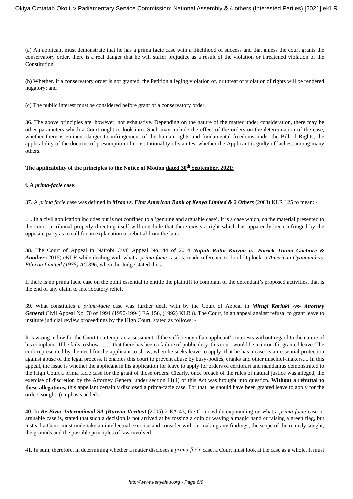(a) An applicant must demonstrate that he has a prima facie case with a likelihood of success and that unless the court grants the conservatory order, there is a real danger that he will suffer prejudice as a result of the violation or threatened violation of the **Constitution** 

(b) Whether, if a conservatory order is not granted, the Petition alleging violation of, or threat of violation of rights will be rendered nugatory; and

(c) The public interest must be considered before grant of a conservatory order.

36. The above principles are, however, not exhaustive. Depending on the nature of the matter under consideration, there may be other parameters which a Court ought to look into. Such may include the effect of the orders on the determination of the case, whether there is eminent danger to infringement of the human rights and fundamental freedoms under the Bill of Rights, the applicability of the doctrine of presumption of constitutionality of statutes, whether the Applicant is guilty of laches, among many others.

## **The applicability of the principles to the Notice of Motion dated 30th September, 2021:**

## **i. A** *prima-facie* **case:**

37. A *prima facie* case was defined in *Mrao vs. First American Bank of Kenya Limited & 2 Others* (2003) KLR 125 to mean: -

…. In a civil application includes but is not confined to a 'genuine and arguable case'. It is a case which, on the material presented to the court, a tribunal properly directing itself will conclude that there exists a right which has apparently been infringed by the opposite party as to call for an explanation or rebuttal from the later.

38. The Court of Appeal in Nairobi Civil Appeal No. 44 of 2014 *Naftali Ruthi Kinyua vs. Patrick Thuita Gachure & Another* (2015) eKLR while dealing with what a *prima facie* case is, made reference to Lord Diplock in *American Cyanamid vs. Ethicon Limited (1975) AC 396,* when the Judge stated thus: -

If there is no prima facie case on the point essential to entitle the plaintiff to complain of the defendant's proposed activities, that is the end of any claim to interlocutory relief.

39. What constitutes a *prima-facie* case was further dealt with by the Court of Appeal in *Mirugi Kariuki -vs- Attorney General* Civil Appeal No. 70 of 1991 (1990-1994) EA 156, (1992) KLR 8. The Court, in an appeal against refusal to grant leave to institute judicial review proceedings by the High Court, stated as follows: -

It is wrong in law for the Court to attempt an assessment of the sufficiency of an applicant's interests without regard to the nature of his complaint. If he fails to show……. that there has been a failure of public duty, this court would be in error if it granted leave. The curb represented by the need for the applicant to show, when he seeks leave to apply, that he has a case, is an essential protection against abuse of the legal process. It enables this court to prevent abuse by busy-bodies, cranks and other mischief-makers.... In this appeal, the issue is whether the applicant in his application for leave to apply for orders of certiorari and mandamus demonstrated to the High Court a prima facie case for the grant of those orders. Clearly, once breach of the rules of natural justice was alleged, the exercise of discretion by the Attorney General under section 11(1) of this Act was brought into question. **Without a rebuttal to these allegations**, this appellant certainly disclosed a prima-facie case. For that, he should have been granted leave to apply for the orders sought. (emphasis added).

40. In *Re Bivac International SA (Bureau Veritas)* (2005) 2 EA 43, the Court while expounding on what a *prima-facie* case or arguable case is, stated that such a decision is not arrived at by tossing a coin or waving a magic hand or raising a green flag, but instead a Court must undertake an intellectual exercise and consider without making any findings, the scope of the remedy sought, the grounds and the possible principles of law involved.

41. In sum, therefore, in determining whether a matter discloses a *prima-facie* case, a Court must look at the case as a whole. It must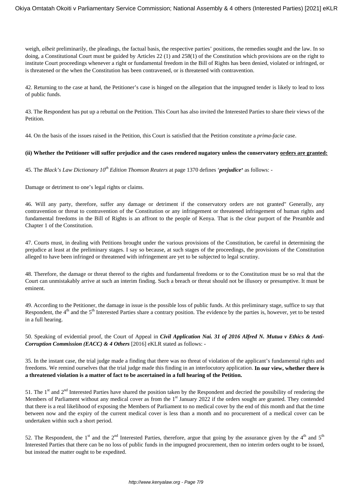weigh, *albeit* preliminarily, the pleadings, the factual basis, the respective parties' positions, the remedies sought and the law. In so doing, a Constitutional Court must be guided by Articles 22 (1) and 258(1) of the Constitution which provisions are on the right to institute Court proceedings whenever a right or fundamental freedom in the Bill of Rights has been denied, violated or infringed, or is threatened or the when the Constitution has been contravened, or is threatened with contravention.

42. Returning to the case at hand, the Petitioner's case is hinged on the allegation that the impugned tender is likely to lead to loss of public funds.

43. The Respondent has put up a rebuttal on the Petition. This Court has also invited the Interested Parties to share their views of the Petition.

44. On the basis of the issues raised in the Petition, this Court is satisfied that the Petition constitute a *prima-facie* case.

## **(ii) Whether the Petitioner will suffer prejudice and the cases rendered nugatory unless the conservatory orders are granted:**

45. The *Black's Law Dictionary 10th Edition Thomson Reuters* at page 1370 defines '*prejudice***'** as follows: -

Damage or detriment to one's legal rights or claims.

46. Will any party, therefore, suffer any damage or detriment if the conservatory orders are not granted" Generally, any contravention or threat to contravention of the Constitution or any infringement or threatened infringement of human rights and fundamental freedoms in the Bill of Rights is an affront to the people of Kenya. That is the clear purport of the Preamble and Chapter 1 of the Constitution.

47. Courts must, in dealing with Petitions brought under the various provisions of the Constitution, be careful in determining the prejudice at least at the preliminary stages. I say so because, at such stages of the proceedings, the provisions of the Constitution alleged to have been infringed or threatened with infringement are yet to be subjected to legal scrutiny.

48. Therefore, the damage or threat thereof to the rights and fundamental freedoms or to the Constitution must be so real that the Court can unmistakably arrive at such an interim finding. Such a breach or threat should not be illusory or presumptive. It must be eminent.

49. According to the Petitioner, the damage in issue is the possible loss of public funds. At this preliminary stage, suffice to say that Respondent, the 4<sup>th</sup> and the 5<sup>th</sup> Interested Parties share a contrary position. The evidence by the parties is, however, yet to be tested in a full hearing.

50. Speaking of evidential proof, the Court of Appeal in *Civil Application Nai. 31 of 2016 Alfred N. Mutua v Ethics & Anti-Corruption Commission (EACC) & 4 Others* [2016] eKLR stated as follows: -

35. In the instant case, the trial judge made a finding that there was no threat of violation of the applicant's fundamental rights and freedoms. We remind ourselves that the trial judge made this finding in an interlocutory application. **In our view, whether there is a threatened violation is a matter of fact to be ascertained in a full hearing of the Petition.**

51. The  $1<sup>st</sup>$  and  $2<sup>nd</sup>$  Interested Parties have shared the position taken by the Respondent and decried the possibility of rendering the Members of Parliament without any medical cover as from the 1<sup>st</sup> January 2022 if the orders sought are granted. They contended that there is a real likelihood of exposing the Members of Parliament to no medical cover by the end of this month and that the time between now and the expiry of the current medical cover is less than a month and no procurement of a medical cover can be undertaken within such a short period.

52. The Respondent, the 1<sup>st</sup> and the 2<sup>nd</sup> Interested Parties, therefore, argue that going by the assurance given by the 4<sup>th</sup> and 5<sup>th</sup> Interested Parties that there can be no loss of public funds in the impugned procurement, then no interim orders ought to be issued, but instead the matter ought to be expedited.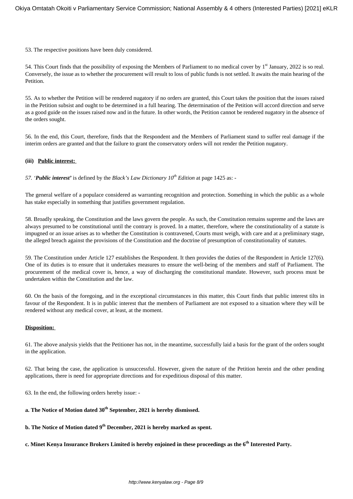53. The respective positions have been duly considered.

54. This Court finds that the possibility of exposing the Members of Parliament to no medical cover by 1<sup>st</sup> January, 2022 is so real. Conversely, the issue as to whether the procurement will result to loss of public funds is not settled. It awaits the main hearing of the Petition.

55. As to whether the Petition will be rendered nugatory if no orders are granted, this Court takes the position that the issues raised in the Petition subsist and ought to be determined in a full hearing. The determination of the Petition will accord direction and serve as a good guide on the issues raised now and in the future. In other words, the Petition cannot be rendered nugatory in the absence of the orders sought.

56. In the end, this Court, therefore, finds that the Respondent and the Members of Parliament stand to suffer real damage if the interim orders are granted and that the failure to grant the conservatory orders will not render the Petition nugatory.

#### **(iii) Public interest:**

*57. 'Public interest'* is defined by the *Black's Law Dictionary 10th Edition* at page 1425 as: -

The general welfare of a populace considered as warranting recognition and protection. Something in which the public as a whole has stake especially in something that justifies government regulation.

58. Broadly speaking, the Constitution and the laws govern the people. As such, the Constitution remains supreme and the laws are always presumed to be constitutional until the contrary is proved. In a matter, therefore, where the constitutionality of a statute is impugned or an issue arises as to whether the Constitution is contravened, Courts must weigh, with care and at a preliminary stage, the alleged breach against the provisions of the Constitution and the doctrine of presumption of constitutionality of statutes.

59. The Constitution under Article 127 establishes the Respondent. It then provides the duties of the Respondent in Article 127(6). One of its duties is to ensure that it undertakes measures to ensure the well-being of the members and staff of Parliament. The procurement of the medical cover is, hence, a way of discharging the constitutional mandate. However, such process must be undertaken within the Constitution and the law.

60. On the basis of the foregoing, and in the exceptional circumstances in this matter, this Court finds that public interest tilts in favour of the Respondent. It is in public interest that the members of Parliament are not exposed to a situation where they will be rendered without any medical cover, at least, at the moment.

## **Disposition:**

61. The above analysis yields that the Petitioner has not, in the meantime, successfully laid a basis for the grant of the orders sought in the application.

62. That being the case, the application is unsuccessful. However, given the nature of the Petition herein and the other pending applications, there is need for appropriate directions and for expeditious disposal of this matter.

63. In the end, the following orders hereby issue: -

# **a. The Notice of Motion dated 30th September, 2021 is hereby dismissed.**

**b. The Notice of Motion dated 9 th December, 2021 is hereby marked as spent.**

**c. Minet Kenya Insurance Brokers Limited is hereby enjoined in these proceedings as the 6th Interested Party.**